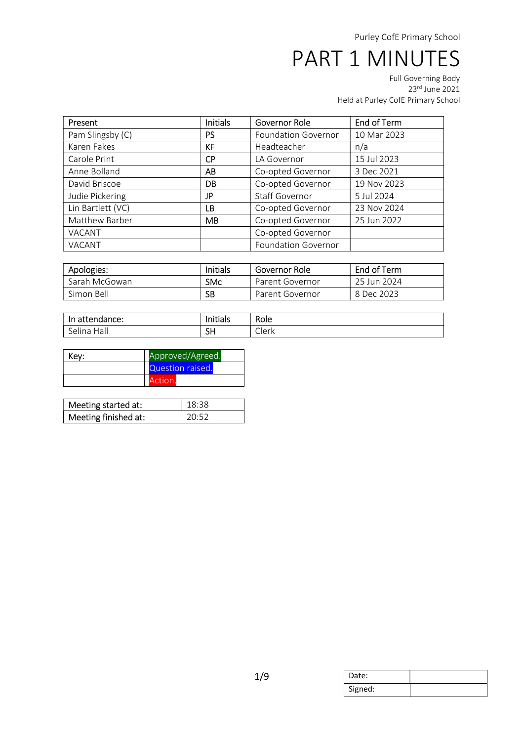| Present           | <b>Initials</b> | Governor Role              | End of Term |
|-------------------|-----------------|----------------------------|-------------|
| Pam Slingsby (C)  | <b>PS</b>       | Foundation Governor        | 10 Mar 2023 |
| Karen Fakes       | KF              | Headteacher                | n/a         |
| Carole Print      | CP              | LA Governor                | 15 Jul 2023 |
| Anne Bolland      | AB              | Co-opted Governor          | 3 Dec 2021  |
| David Briscoe     | DB              | Co-opted Governor          | 19 Nov 2023 |
| Judie Pickering   | JP              | <b>Staff Governor</b>      | 5 Jul 2024  |
| Lin Bartlett (VC) | LB              | Co-opted Governor          | 23 Nov 2024 |
| Matthew Barber    | <b>MB</b>       | Co-opted Governor          | 25 Jun 2022 |
| VACANT            |                 | Co-opted Governor          |             |
| VACANT            |                 | <b>Foundation Governor</b> |             |

| Apologies:    | Initials   | Governor Role   | End of Term |
|---------------|------------|-----------------|-------------|
| Sarah McGowan | <b>SMc</b> | Parent Governor | 25 Jun 2024 |
| Simon Bell    | SB         | Parent Governor | 8 Dec 2023  |

| attendance:<br>In                                 | .<br>Initials    | Role                 |
|---------------------------------------------------|------------------|----------------------|
| Hall<br>$\overline{\phantom{0}}$<br>∴oelin<br>±ld | CL.<br>−<br>ו וכ | ⌒╹<br>l≏rk<br>UITI N |

| Key: | Approved/Agreed.        |  |
|------|-------------------------|--|
|      | <b>Question raised.</b> |  |
|      | Action.                 |  |

| Meeting started at:  | 18:38 |
|----------------------|-------|
| Meeting finished at: | 20:52 |

| Date:   |  |
|---------|--|
| Signed: |  |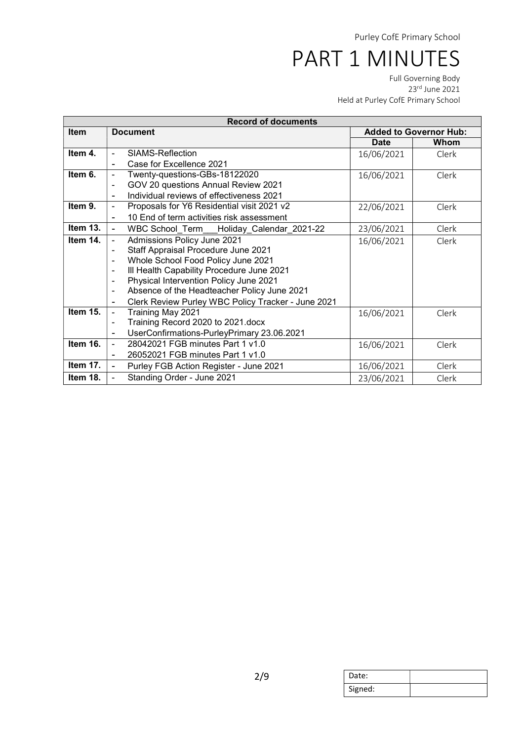| <b>Record of documents</b> |                                                                        |                               |       |  |
|----------------------------|------------------------------------------------------------------------|-------------------------------|-------|--|
| <b>Item</b>                | <b>Document</b>                                                        | <b>Added to Governor Hub:</b> |       |  |
|                            |                                                                        | <b>Date</b>                   | Whom  |  |
| Item 4.                    | SIAMS-Reflection                                                       | 16/06/2021                    | Clerk |  |
|                            | Case for Excellence 2021                                               |                               |       |  |
| Item 6.                    | Twenty-questions-GBs-18122020<br>۰                                     | 16/06/2021                    | Clerk |  |
|                            | GOV 20 questions Annual Review 2021                                    |                               |       |  |
|                            | Individual reviews of effectiveness 2021<br>$\blacksquare$             |                               |       |  |
| Item 9.                    | Proposals for Y6 Residential visit 2021 v2<br>۰                        | 22/06/2021                    | Clerk |  |
|                            | 10 End of term activities risk assessment<br>$\blacksquare$            |                               |       |  |
| Item 13.                   | WBC School_Term___Holiday_Calendar_2021-22<br>$\blacksquare$           | 23/06/2021                    | Clerk |  |
| Item 14.                   | Admissions Policy June 2021<br>$\frac{1}{2}$                           | 16/06/2021                    | Clerk |  |
|                            | Staff Appraisal Procedure June 2021<br>$\blacksquare$                  |                               |       |  |
|                            | Whole School Food Policy June 2021<br>$\overline{\phantom{a}}$         |                               |       |  |
|                            | III Health Capability Procedure June 2021<br>$\blacksquare$            |                               |       |  |
|                            | Physical Intervention Policy June 2021                                 |                               |       |  |
|                            | Absence of the Headteacher Policy June 2021<br>$\blacksquare$          |                               |       |  |
|                            | Clerk Review Purley WBC Policy Tracker - June 2021<br>$\blacksquare$   |                               |       |  |
| Item 15.                   | Training May 2021<br>$\blacksquare$                                    | 16/06/2021                    | Clerk |  |
|                            | Training Record 2020 to 2021.docx<br>$\blacksquare$                    |                               |       |  |
|                            | UserConfirmations-PurleyPrimary 23.06.2021<br>$\overline{\phantom{a}}$ |                               |       |  |
| Item 16.                   | 28042021 FGB minutes Part 1 v1.0<br>$\blacksquare$                     | 16/06/2021                    | Clerk |  |
|                            | 26052021 FGB minutes Part 1 v1.0<br>$\blacksquare$                     |                               |       |  |
| Item 17.                   | Purley FGB Action Register - June 2021<br>$\blacksquare$               | 16/06/2021                    | Clerk |  |
| Item 18.                   | Standing Order - June 2021                                             | 23/06/2021                    | Clerk |  |

| Date:   |  |
|---------|--|
| Signed: |  |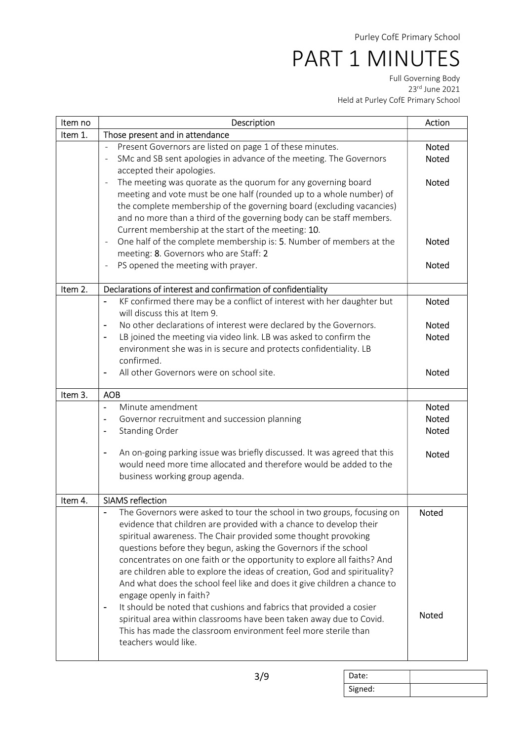| Item no | Description                                                                                                                                                                                                                                                                                                                                                                                                                                                                                                                                      | Action                                       |
|---------|--------------------------------------------------------------------------------------------------------------------------------------------------------------------------------------------------------------------------------------------------------------------------------------------------------------------------------------------------------------------------------------------------------------------------------------------------------------------------------------------------------------------------------------------------|----------------------------------------------|
| Item 1. | Those present and in attendance                                                                                                                                                                                                                                                                                                                                                                                                                                                                                                                  |                                              |
|         | Present Governors are listed on page 1 of these minutes.<br>$\Box$<br>SMc and SB sent apologies in advance of the meeting. The Governors<br>accepted their apologies.                                                                                                                                                                                                                                                                                                                                                                            | <b>Noted</b><br><b>Noted</b>                 |
|         | The meeting was quorate as the quorum for any governing board<br>meeting and vote must be one half (rounded up to a whole number) of<br>the complete membership of the governing board (excluding vacancies)<br>and no more than a third of the governing body can be staff members.<br>Current membership at the start of the meeting: 10.<br>One half of the complete membership is: 5. Number of members at the<br>$\blacksquare$<br>meeting: 8. Governors who are Staff: 2<br>PS opened the meeting with prayer.                             | <b>Noted</b><br><b>Noted</b><br><b>Noted</b> |
|         |                                                                                                                                                                                                                                                                                                                                                                                                                                                                                                                                                  |                                              |
| Item 2. | Declarations of interest and confirmation of confidentiality<br>KF confirmed there may be a conflict of interest with her daughter but<br>will discuss this at Item 9.                                                                                                                                                                                                                                                                                                                                                                           | <b>Noted</b>                                 |
|         | No other declarations of interest were declared by the Governors.<br>LB joined the meeting via video link. LB was asked to confirm the<br>environment she was in is secure and protects confidentiality. LB                                                                                                                                                                                                                                                                                                                                      | <b>Noted</b><br><b>Noted</b>                 |
|         | confirmed.<br>All other Governors were on school site.                                                                                                                                                                                                                                                                                                                                                                                                                                                                                           | <b>Noted</b>                                 |
| Item 3. | <b>AOB</b>                                                                                                                                                                                                                                                                                                                                                                                                                                                                                                                                       |                                              |
|         | Minute amendment<br>$\blacksquare$<br>Governor recruitment and succession planning<br>Standing Order<br>۰                                                                                                                                                                                                                                                                                                                                                                                                                                        | <b>Noted</b><br><b>Noted</b><br><b>Noted</b> |
|         | An on-going parking issue was briefly discussed. It was agreed that this<br>$\blacksquare$<br>would need more time allocated and therefore would be added to the<br>business working group agenda.                                                                                                                                                                                                                                                                                                                                               | <b>Noted</b>                                 |
| Item 4. | <b>SIAMS</b> reflection                                                                                                                                                                                                                                                                                                                                                                                                                                                                                                                          |                                              |
|         | The Governors were asked to tour the school in two groups, focusing on<br>evidence that children are provided with a chance to develop their<br>spiritual awareness. The Chair provided some thought provoking<br>questions before they begun, asking the Governors if the school<br>concentrates on one faith or the opportunity to explore all faiths? And<br>are children able to explore the ideas of creation, God and spirituality?<br>And what does the school feel like and does it give children a chance to<br>engage openly in faith? | <b>Noted</b>                                 |
|         | It should be noted that cushions and fabrics that provided a cosier<br>$\overline{\phantom{a}}$<br>spiritual area within classrooms have been taken away due to Covid.<br>This has made the classroom environment feel more sterile than<br>teachers would like.                                                                                                                                                                                                                                                                                 | <b>Noted</b>                                 |

| Date:   |  |
|---------|--|
| Signed: |  |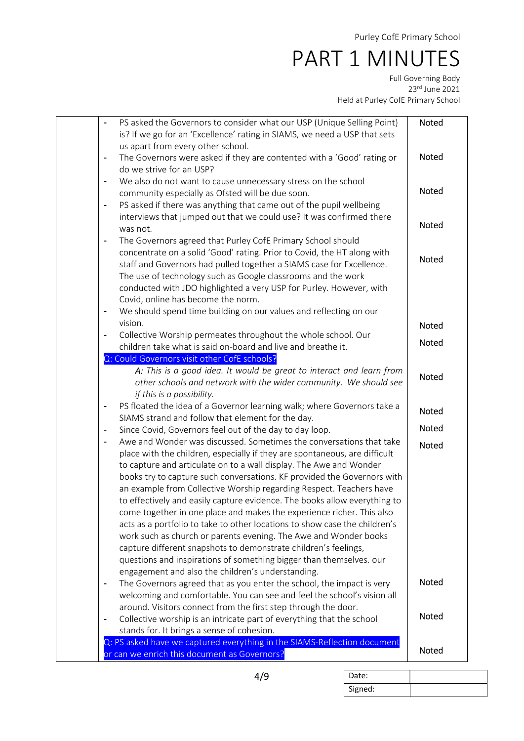Full Governing Body 23rd June 2021 Held at Purley CofE Primary School

|                              | PS asked the Governors to consider what our USP (Unique Selling Point)                             | <b>Noted</b> |
|------------------------------|----------------------------------------------------------------------------------------------------|--------------|
|                              | is? If we go for an 'Excellence' rating in SIAMS, we need a USP that sets                          |              |
|                              | us apart from every other school.                                                                  | <b>Noted</b> |
| $\blacksquare$               | The Governors were asked if they are contented with a 'Good' rating or<br>do we strive for an USP? |              |
| ۰                            | We also do not want to cause unnecessary stress on the school                                      |              |
|                              | community especially as Ofsted will be due soon.                                                   | <b>Noted</b> |
| ۰                            | PS asked if there was anything that came out of the pupil wellbeing                                |              |
|                              | interviews that jumped out that we could use? It was confirmed there                               |              |
|                              | was not.                                                                                           | <b>Noted</b> |
| $\blacksquare$               | The Governors agreed that Purley CofE Primary School should                                        |              |
|                              | concentrate on a solid 'Good' rating. Prior to Covid, the HT along with                            |              |
|                              | staff and Governors had pulled together a SIAMS case for Excellence.                               | <b>Noted</b> |
|                              | The use of technology such as Google classrooms and the work                                       |              |
|                              | conducted with JDO highlighted a very USP for Purley. However, with                                |              |
|                              | Covid, online has become the norm.                                                                 |              |
| $\qquad \qquad \blacksquare$ | We should spend time building on our values and reflecting on our                                  |              |
|                              | vision.                                                                                            | <b>Noted</b> |
| $\blacksquare$               | Collective Worship permeates throughout the whole school. Our                                      |              |
|                              | children take what is said on-board and live and breathe it.                                       | <b>Noted</b> |
|                              | Q: Could Governors visit other CofE schools?                                                       |              |
|                              | A: This is a good idea. It would be great to interact and learn from                               |              |
|                              | other schools and network with the wider community. We should see<br>if this is a possibility.     | <b>Noted</b> |
| ۰                            | PS floated the idea of a Governor learning walk; where Governors take a                            |              |
|                              | SIAMS strand and follow that element for the day.                                                  | <b>Noted</b> |
| $\blacksquare$               | Since Covid, Governors feel out of the day to day loop.                                            | <b>Noted</b> |
| $\overline{\phantom{a}}$     | Awe and Wonder was discussed. Sometimes the conversations that take                                | <b>Noted</b> |
|                              | place with the children, especially if they are spontaneous, are difficult                         |              |
|                              | to capture and articulate on to a wall display. The Awe and Wonder                                 |              |
|                              | books try to capture such conversations. KF provided the Governors with                            |              |
|                              | an example from Collective Worship regarding Respect. Teachers have                                |              |
|                              | to effectively and easily capture evidence. The books allow everything to                          |              |
|                              | come together in one place and makes the experience richer. This also                              |              |
|                              | acts as a portfolio to take to other locations to show case the children's                         |              |
|                              | work such as church or parents evening. The Awe and Wonder books                                   |              |
|                              | capture different snapshots to demonstrate children's feelings,                                    |              |
|                              | questions and inspirations of something bigger than themselves. our                                |              |
|                              | engagement and also the children's understanding.                                                  |              |
| $\blacksquare$               | The Governors agreed that as you enter the school, the impact is very                              | <b>Noted</b> |
|                              | welcoming and comfortable. You can see and feel the school's vision all                            |              |
|                              | around. Visitors connect from the first step through the door.                                     |              |
|                              | Collective worship is an intricate part of everything that the school                              | <b>Noted</b> |
|                              | stands for. It brings a sense of cohesion.                                                         |              |
|                              | Q: PS asked have we captured everything in the SIAMS-Reflection document                           |              |
|                              | or can we enrich this document as Governors?                                                       | Noted        |
|                              |                                                                                                    |              |

Date: Signed: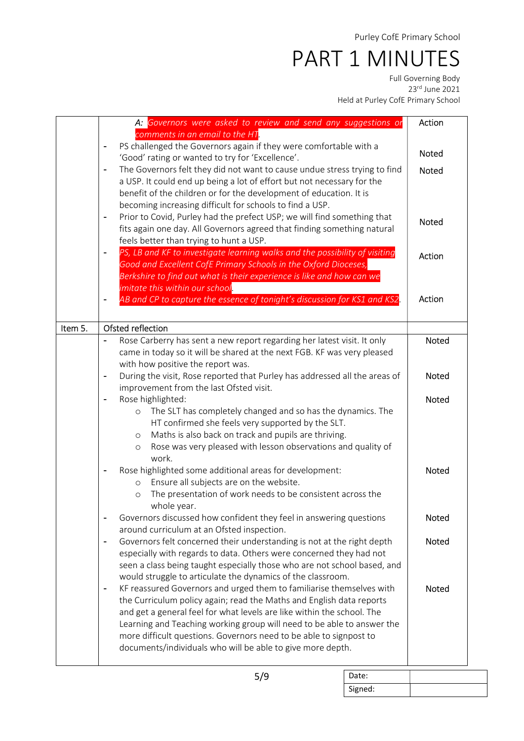Full Governing Body 23rd June 2021

Held at Purley CofE Primary School

|         | A: Governors were asked to review and send any suggestions or<br>comments in an email to the HT.                                    | Action       |
|---------|-------------------------------------------------------------------------------------------------------------------------------------|--------------|
|         | PS challenged the Governors again if they were comfortable with a                                                                   | Noted        |
|         | 'Good' rating or wanted to try for 'Excellence'.                                                                                    |              |
|         | The Governors felt they did not want to cause undue stress trying to find<br>$\overline{\phantom{a}}$                               | <b>Noted</b> |
|         | a USP. It could end up being a lot of effort but not necessary for the                                                              |              |
|         | benefit of the children or for the development of education. It is                                                                  |              |
|         | becoming increasing difficult for schools to find a USP.<br>Prior to Covid, Purley had the prefect USP; we will find something that |              |
|         | $\overline{a}$<br>fits again one day. All Governors agreed that finding something natural                                           | <b>Noted</b> |
|         | feels better than trying to hunt a USP.                                                                                             |              |
|         | PS, LB and KF to investigate learning walks and the possibility of visiting                                                         |              |
|         | Good and Excellent CofE Primary Schools in the Oxford Dioceses,                                                                     | Action       |
|         | Berkshire to find out what is their experience is like and how can we                                                               |              |
|         | imitate this within our school                                                                                                      |              |
|         | AB and CP to capture the essence of tonight's discussion for KS1 and KS2.                                                           | Action       |
|         |                                                                                                                                     |              |
| Item 5. | Ofsted reflection                                                                                                                   |              |
|         | Rose Carberry has sent a new report regarding her latest visit. It only                                                             | <b>Noted</b> |
|         | came in today so it will be shared at the next FGB. KF was very pleased                                                             |              |
|         | with how positive the report was.                                                                                                   |              |
|         | During the visit, Rose reported that Purley has addressed all the areas of<br>$\overline{\phantom{a}}$                              | Noted        |
|         | improvement from the last Ofsted visit.                                                                                             |              |
|         | Rose highlighted:                                                                                                                   | <b>Noted</b> |
|         | The SLT has completely changed and so has the dynamics. The<br>$\circ$                                                              |              |
|         | HT confirmed she feels very supported by the SLT.                                                                                   |              |
|         | Maths is also back on track and pupils are thriving.<br>$\circ$                                                                     |              |
|         | Rose was very pleased with lesson observations and quality of<br>$\circ$                                                            |              |
|         | work.                                                                                                                               |              |
|         | Rose highlighted some additional areas for development:                                                                             | Noted        |
|         | Ensure all subjects are on the website.<br>$\circ$                                                                                  |              |
|         | The presentation of work needs to be consistent across the<br>$\circ$                                                               |              |
|         | whole year.                                                                                                                         | Noted        |
|         | Governors discussed how confident they feel in answering questions<br>around curriculum at an Ofsted inspection.                    |              |
|         | Governors felt concerned their understanding is not at the right depth                                                              | <b>Noted</b> |
|         | especially with regards to data. Others were concerned they had not                                                                 |              |
|         | seen a class being taught especially those who are not school based, and                                                            |              |
|         | would struggle to articulate the dynamics of the classroom.                                                                         |              |
|         | KF reassured Governors and urged them to familiarise themselves with<br>$\overline{\phantom{a}}$                                    | <b>Noted</b> |
|         | the Curriculum policy again; read the Maths and English data reports                                                                |              |
|         | and get a general feel for what levels are like within the school. The                                                              |              |
|         | Learning and Teaching working group will need to be able to answer the                                                              |              |
|         | more difficult questions. Governors need to be able to signpost to                                                                  |              |
|         | documents/individuals who will be able to give more depth.                                                                          |              |
|         |                                                                                                                                     |              |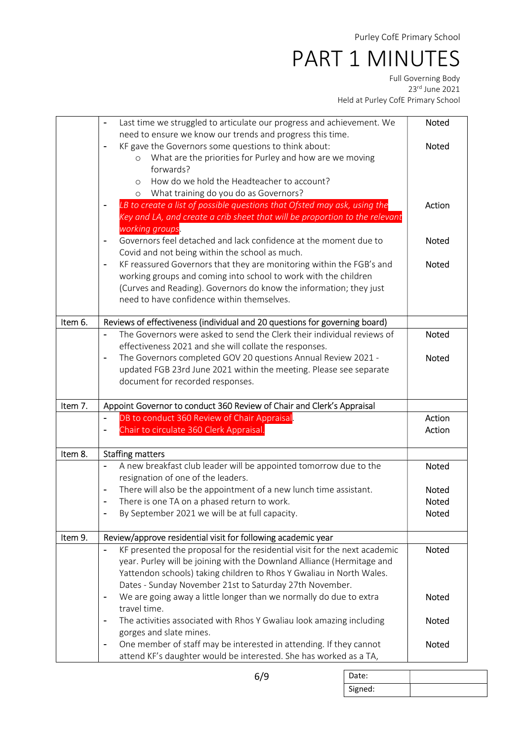|         | Last time we struggled to articulate our progress and achievement. We<br>$\blacksquare$                                   | <b>Noted</b> |
|---------|---------------------------------------------------------------------------------------------------------------------------|--------------|
|         | need to ensure we know our trends and progress this time.                                                                 |              |
|         | KF gave the Governors some questions to think about:<br>$\blacksquare$                                                    | <b>Noted</b> |
|         | What are the priorities for Purley and how are we moving<br>$\circ$                                                       |              |
|         | forwards?                                                                                                                 |              |
|         | How do we hold the Headteacher to account?<br>$\circ$                                                                     |              |
|         | What training do you do as Governors?<br>$\circ$                                                                          |              |
|         | LB to create a list of possible questions that Ofsted may ask, using the<br>$\blacksquare$                                | Action       |
|         | Key and LA, and create a crib sheet that will be proportion to the relevant                                               |              |
|         | working groups.                                                                                                           |              |
|         | Governors feel detached and lack confidence at the moment due to<br>$\blacksquare$                                        | <b>Noted</b> |
|         | Covid and not being within the school as much.                                                                            |              |
|         | KF reassured Governors that they are monitoring within the FGB's and<br>$\blacksquare$                                    | Noted        |
|         | working groups and coming into school to work with the children                                                           |              |
|         | (Curves and Reading). Governors do know the information; they just                                                        |              |
|         | need to have confidence within themselves.                                                                                |              |
| Item 6. | Reviews of effectiveness (individual and 20 questions for governing board)                                                |              |
|         | The Governors were asked to send the Clerk their individual reviews of                                                    | <b>Noted</b> |
|         | effectiveness 2021 and she will collate the responses.                                                                    |              |
|         | The Governors completed GOV 20 questions Annual Review 2021 -<br>$\blacksquare$                                           | <b>Noted</b> |
|         | updated FGB 23rd June 2021 within the meeting. Please see separate                                                        |              |
|         | document for recorded responses.                                                                                          |              |
|         |                                                                                                                           |              |
| Item 7. | Appoint Governor to conduct 360 Review of Chair and Clerk's Appraisal                                                     |              |
|         | DB to conduct 360 Review of Chair Appraisal.<br>$\blacksquare$                                                            | Action       |
|         | Chair to circulate 360 Clerk Appraisal.                                                                                   | Action       |
| Item 8. | <b>Staffing matters</b>                                                                                                   |              |
|         | A new breakfast club leader will be appointed tomorrow due to the                                                         | <b>Noted</b> |
|         | resignation of one of the leaders.                                                                                        |              |
|         |                                                                                                                           | <b>Noted</b> |
|         | There will also be the appointment of a new lunch time assistant.<br>$\overline{\phantom{a}}$                             | Noted        |
|         | There is one TA on a phased return to work.<br>$\overline{\phantom{a}}$<br>By September 2021 we will be at full capacity. |              |
|         |                                                                                                                           | Noted        |
| Item 9. | Review/approve residential visit for following academic year                                                              |              |
|         | KF presented the proposal for the residential visit for the next academic                                                 | <b>Noted</b> |
|         | year. Purley will be joining with the Downland Alliance (Hermitage and                                                    |              |
|         | Yattendon schools) taking children to Rhos Y Gwaliau in North Wales.                                                      |              |
|         | Dates - Sunday November 21st to Saturday 27th November.                                                                   |              |
|         | We are going away a little longer than we normally do due to extra                                                        | <b>Noted</b> |
|         | travel time.                                                                                                              |              |
|         |                                                                                                                           |              |
|         |                                                                                                                           |              |
|         | The activities associated with Rhos Y Gwaliau look amazing including                                                      | Noted        |
|         | gorges and slate mines.<br>One member of staff may be interested in attending. If they cannot<br>۰                        | Noted        |

| Date:   |  |
|---------|--|
| Signed: |  |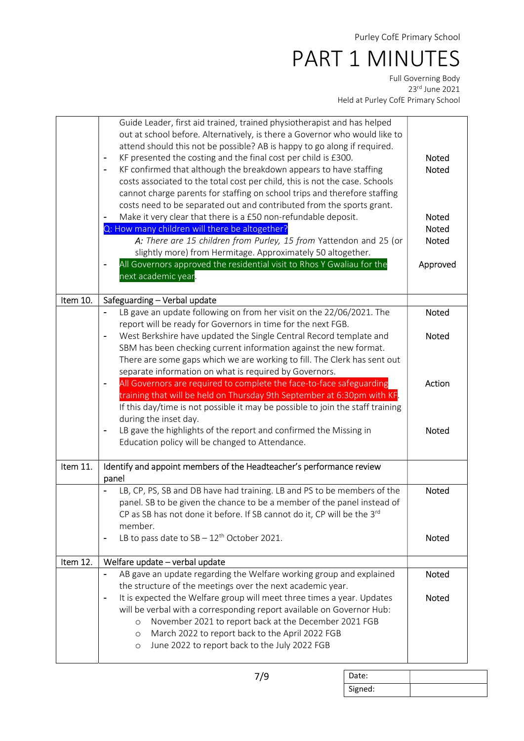Full Governing Body 23rd June 2021 Held at Purley CofE Primary School

|          | Guide Leader, first aid trained, trained physiotherapist and has helped<br>out at school before. Alternatively, is there a Governor who would like to<br>attend should this not be possible? AB is happy to go along if required.<br>KF presented the costing and the final cost per child is £300.<br>KF confirmed that although the breakdown appears to have staffing<br>$\blacksquare$<br>costs associated to the total cost per child, this is not the case. Schools<br>cannot charge parents for staffing on school trips and therefore staffing<br>costs need to be separated out and contributed from the sports grant.<br>Make it very clear that there is a £50 non-refundable deposit.<br>Q: How many children will there be altogether?<br>A: There are 15 children from Purley, 15 from Yattendon and 25 (or<br>slightly more) from Hermitage. Approximately 50 altogether.<br>All Governors approved the residential visit to Rhos Y Gwaliau for the<br>next academic year. | <b>Noted</b><br><b>Noted</b><br><b>Noted</b><br><b>Noted</b><br><b>Noted</b><br>Approved |
|----------|-------------------------------------------------------------------------------------------------------------------------------------------------------------------------------------------------------------------------------------------------------------------------------------------------------------------------------------------------------------------------------------------------------------------------------------------------------------------------------------------------------------------------------------------------------------------------------------------------------------------------------------------------------------------------------------------------------------------------------------------------------------------------------------------------------------------------------------------------------------------------------------------------------------------------------------------------------------------------------------------|------------------------------------------------------------------------------------------|
| Item 10. | Safeguarding - Verbal update                                                                                                                                                                                                                                                                                                                                                                                                                                                                                                                                                                                                                                                                                                                                                                                                                                                                                                                                                              |                                                                                          |
|          | LB gave an update following on from her visit on the 22/06/2021. The                                                                                                                                                                                                                                                                                                                                                                                                                                                                                                                                                                                                                                                                                                                                                                                                                                                                                                                      | Noted                                                                                    |
|          | report will be ready for Governors in time for the next FGB.<br>West Berkshire have updated the Single Central Record template and<br>$\blacksquare$                                                                                                                                                                                                                                                                                                                                                                                                                                                                                                                                                                                                                                                                                                                                                                                                                                      | <b>Noted</b>                                                                             |
|          | SBM has been checking current information against the new format.                                                                                                                                                                                                                                                                                                                                                                                                                                                                                                                                                                                                                                                                                                                                                                                                                                                                                                                         |                                                                                          |
|          | There are some gaps which we are working to fill. The Clerk has sent out                                                                                                                                                                                                                                                                                                                                                                                                                                                                                                                                                                                                                                                                                                                                                                                                                                                                                                                  |                                                                                          |
|          | separate information on what is required by Governors.                                                                                                                                                                                                                                                                                                                                                                                                                                                                                                                                                                                                                                                                                                                                                                                                                                                                                                                                    |                                                                                          |
|          | All Governors are required to complete the face-to-face safeguarding<br>$\blacksquare$<br>training that will be held on Thursday 9th September at 6:30pm with KF.                                                                                                                                                                                                                                                                                                                                                                                                                                                                                                                                                                                                                                                                                                                                                                                                                         | Action                                                                                   |
|          | If this day/time is not possible it may be possible to join the staff training                                                                                                                                                                                                                                                                                                                                                                                                                                                                                                                                                                                                                                                                                                                                                                                                                                                                                                            |                                                                                          |
|          | during the inset day.                                                                                                                                                                                                                                                                                                                                                                                                                                                                                                                                                                                                                                                                                                                                                                                                                                                                                                                                                                     |                                                                                          |
|          | LB gave the highlights of the report and confirmed the Missing in<br>$\overline{\phantom{0}}$                                                                                                                                                                                                                                                                                                                                                                                                                                                                                                                                                                                                                                                                                                                                                                                                                                                                                             | <b>Noted</b>                                                                             |
|          | Education policy will be changed to Attendance.                                                                                                                                                                                                                                                                                                                                                                                                                                                                                                                                                                                                                                                                                                                                                                                                                                                                                                                                           |                                                                                          |
| Item 11. | Identify and appoint members of the Headteacher's performance review                                                                                                                                                                                                                                                                                                                                                                                                                                                                                                                                                                                                                                                                                                                                                                                                                                                                                                                      |                                                                                          |
|          | panel                                                                                                                                                                                                                                                                                                                                                                                                                                                                                                                                                                                                                                                                                                                                                                                                                                                                                                                                                                                     |                                                                                          |
|          | LB, CP, PS, SB and DB have had training. LB and PS to be members of the                                                                                                                                                                                                                                                                                                                                                                                                                                                                                                                                                                                                                                                                                                                                                                                                                                                                                                                   | Noted                                                                                    |
|          | panel. SB to be given the chance to be a member of the panel instead of<br>CP as SB has not done it before. If SB cannot do it, CP will be the 3rd                                                                                                                                                                                                                                                                                                                                                                                                                                                                                                                                                                                                                                                                                                                                                                                                                                        |                                                                                          |
|          | member.                                                                                                                                                                                                                                                                                                                                                                                                                                                                                                                                                                                                                                                                                                                                                                                                                                                                                                                                                                                   |                                                                                          |
|          | LB to pass date to $SB - 12^{th}$ October 2021.                                                                                                                                                                                                                                                                                                                                                                                                                                                                                                                                                                                                                                                                                                                                                                                                                                                                                                                                           | Noted                                                                                    |
|          |                                                                                                                                                                                                                                                                                                                                                                                                                                                                                                                                                                                                                                                                                                                                                                                                                                                                                                                                                                                           |                                                                                          |
| Item 12. | Welfare update - verbal update                                                                                                                                                                                                                                                                                                                                                                                                                                                                                                                                                                                                                                                                                                                                                                                                                                                                                                                                                            |                                                                                          |
|          | AB gave an update regarding the Welfare working group and explained<br>the structure of the meetings over the next academic year.                                                                                                                                                                                                                                                                                                                                                                                                                                                                                                                                                                                                                                                                                                                                                                                                                                                         | Noted                                                                                    |
|          | It is expected the Welfare group will meet three times a year. Updates<br>$\blacksquare$                                                                                                                                                                                                                                                                                                                                                                                                                                                                                                                                                                                                                                                                                                                                                                                                                                                                                                  | Noted                                                                                    |
|          | will be verbal with a corresponding report available on Governor Hub:                                                                                                                                                                                                                                                                                                                                                                                                                                                                                                                                                                                                                                                                                                                                                                                                                                                                                                                     |                                                                                          |
|          | November 2021 to report back at the December 2021 FGB<br>$\circ$                                                                                                                                                                                                                                                                                                                                                                                                                                                                                                                                                                                                                                                                                                                                                                                                                                                                                                                          |                                                                                          |
|          | March 2022 to report back to the April 2022 FGB<br>$\circ$                                                                                                                                                                                                                                                                                                                                                                                                                                                                                                                                                                                                                                                                                                                                                                                                                                                                                                                                |                                                                                          |
|          | June 2022 to report back to the July 2022 FGB<br>$\circ$                                                                                                                                                                                                                                                                                                                                                                                                                                                                                                                                                                                                                                                                                                                                                                                                                                                                                                                                  |                                                                                          |
|          |                                                                                                                                                                                                                                                                                                                                                                                                                                                                                                                                                                                                                                                                                                                                                                                                                                                                                                                                                                                           |                                                                                          |

Date: Signed: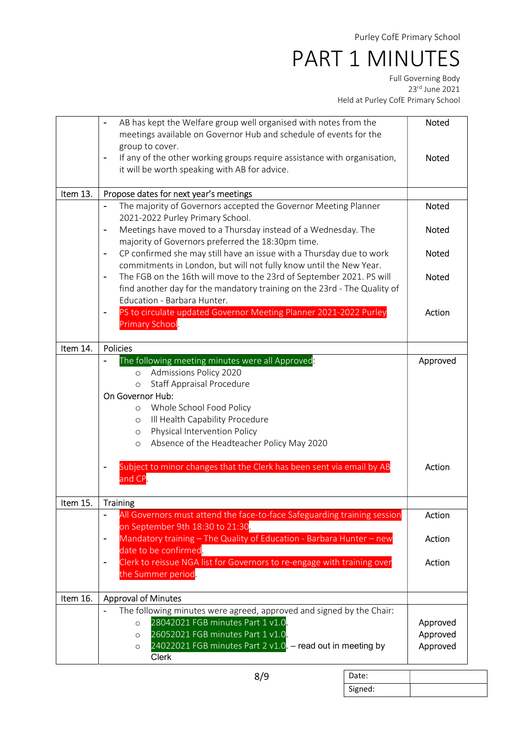Full Governing Body 23rd June 2021 Held at Purley CofE Primary School

|          | AB has kept the Welfare group well organised with notes from the<br>meetings available on Governor Hub and schedule of events for the<br>group to cover.                                                                                                                                                                                                                                                                                                         | <b>Noted</b>                     |
|----------|------------------------------------------------------------------------------------------------------------------------------------------------------------------------------------------------------------------------------------------------------------------------------------------------------------------------------------------------------------------------------------------------------------------------------------------------------------------|----------------------------------|
|          | If any of the other working groups require assistance with organisation,<br>$\overline{\phantom{a}}$<br>it will be worth speaking with AB for advice.                                                                                                                                                                                                                                                                                                            | <b>Noted</b>                     |
| Item 13. | Propose dates for next year's meetings                                                                                                                                                                                                                                                                                                                                                                                                                           |                                  |
|          | The majority of Governors accepted the Governor Meeting Planner<br>2021-2022 Purley Primary School.                                                                                                                                                                                                                                                                                                                                                              | <b>Noted</b>                     |
|          | Meetings have moved to a Thursday instead of a Wednesday. The<br>$\overline{\phantom{a}}$<br>majority of Governors preferred the 18:30pm time.                                                                                                                                                                                                                                                                                                                   | Noted                            |
|          | CP confirmed she may still have an issue with a Thursday due to work<br>commitments in London, but will not fully know until the New Year.                                                                                                                                                                                                                                                                                                                       | <b>Noted</b>                     |
|          | The FGB on the 16th will move to the 23rd of September 2021. PS will<br>$\overline{\phantom{a}}$<br>find another day for the mandatory training on the 23rd - The Quality of<br>Education - Barbara Hunter.                                                                                                                                                                                                                                                      | <b>Noted</b>                     |
|          | PS to circulate updated Governor Meeting Planner 2021-2022 Purley<br><b>Primary School</b>                                                                                                                                                                                                                                                                                                                                                                       | Action                           |
| Item 14. | <b>Policies</b>                                                                                                                                                                                                                                                                                                                                                                                                                                                  |                                  |
|          | The following meeting minutes were all Approved:<br>Admissions Policy 2020<br>$\circ$<br><b>Staff Appraisal Procedure</b><br>$\circ$<br>On Governor Hub:<br>Whole School Food Policy<br>$\circ$<br>Ill Health Capability Procedure<br>$\circ$<br>Physical Intervention Policy<br>$\circ$<br>Absence of the Headteacher Policy May 2020<br>$\circ$<br>Subject to minor changes that the Clerk has been sent via email by AB<br>$\overline{\phantom{a}}$<br>and CP | Approved<br>Action               |
| Item 15. | <b>Training</b>                                                                                                                                                                                                                                                                                                                                                                                                                                                  |                                  |
|          | All Governors must attend the face-to-face Safeguarding training session<br>$\overline{\phantom{a}}$<br>on September 9th 18:30 to 21:30.                                                                                                                                                                                                                                                                                                                         | Action                           |
|          | Mandatory training - The Quality of Education - Barbara Hunter - new<br>date to be confirmed.                                                                                                                                                                                                                                                                                                                                                                    | Action                           |
|          | Clerk to reissue NGA list for Governors to re-engage with training over<br>$\blacksquare$<br>the Summer period.                                                                                                                                                                                                                                                                                                                                                  | Action                           |
| Item 16. | <b>Approval of Minutes</b>                                                                                                                                                                                                                                                                                                                                                                                                                                       |                                  |
|          | The following minutes were agreed, approved and signed by the Chair:<br>28042021 FGB minutes Part 1 v1.0<br>$\circ$<br>26052021 FGB minutes Part 1 v1.0<br>$\circ$<br>24022021 FGB minutes Part 2 $v1.0$ . - read out in meeting by<br>$\circ$<br>Clerk                                                                                                                                                                                                          | Approved<br>Approved<br>Approved |

Date: Signed: